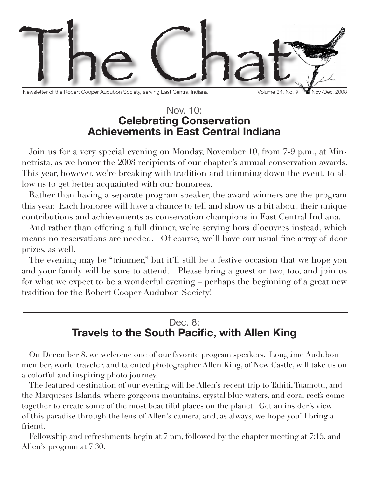

Newsletter of the Robert Cooper Audubon Society, serving East Central Indiana Volume 34, No. 9 Wall Nov./Dec. 2008

### Nov. 10: **Celebrating Conservation Achievements in East Central Indiana**

Join us for a very special evening on Monday, November 10, from 7-9 p.m., at Minnetrista, as we honor the 2008 recipients of our chapter's annual conservation awards. This year, however, we're breaking with tradition and trimming down the event, to allow us to get better acquainted with our honorees.

Rather than having a separate program speaker, the award winners are the program this year. Each honoree will have a chance to tell and show us a bit about their unique contributions and achievements as conservation champions in East Central Indiana.

And rather than offering a full dinner, we're serving hors d'oeuvres instead, which means no reservations are needed. Of course, we'll have our usual fine array of door prizes, as well.

The evening may be "trimmer," but it'll still be a festive occasion that we hope you and your family will be sure to attend. Please bring a guest or two, too, and join us for what we expect to be a wonderful evening – perhaps the beginning of a great new tradition for the Robert Cooper Audubon Society!

## Dec. 8: **Travels to the South Pacific, with Allen King**

On December 8, we welcome one of our favorite program speakers. Longtime Audubon member, world traveler, and talented photographer Allen King, of New Castle, will take us on a colorful and inspiring photo journey.

The featured destination of our evening will be Allen's recent trip to Tahiti, Tuamotu, and the Marqueses Islands, where gorgeous mountains, crystal blue waters, and coral reefs come together to create some of the most beautiful places on the planet. Get an insider's view of this paradise through the lens of Allen's camera, and, as always, we hope you'll bring a friend.

Fellowship and refreshments begin at 7 pm, followed by the chapter meeting at 7:15, and Allen's program at 7:30.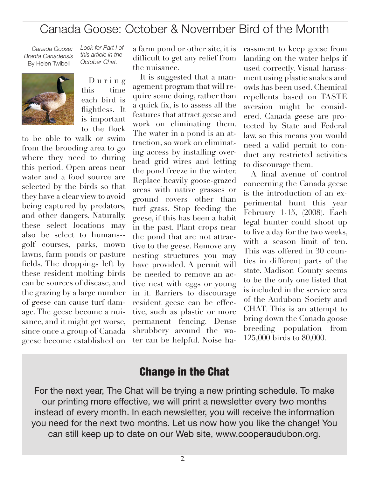# Canada Goose: October & November Bird of the Month

*Canada Goose: Branta Canadensis* By Helen Twibell



*Look for Part I of this article in the October Chat.*

D u r i n g this time each bird is flightless. It is important to the flock

to be able to walk or swim from the brooding area to go where they need to during this period. Open areas near water and a food source are selected by the birds so that they have a clear view to avoid being captured by predators, and other dangers. Naturally, these select locations may also be select to humans- golf courses, parks, mown lawns, farm ponds or pasture fields. The droppings left by these resident molting birds can be sources of disease, and the grazing by a large number of geese can cause turf damage. The geese become a nuisance, and it might get worse, since once a group of Canada geese become established on

a farm pond or other site, it is difficult to get any relief from the nuisance.

It is suggested that a management program that will require some doing, rather than a quick fix, is to assess all the features that attract geese and work on eliminating them. The water in a pond is an attraction, so work on eliminating access by installing overhead grid wires and letting the pond freeze in the winter. Replace heavily goose-grazed areas with native grasses or ground covers other than turf grass. Stop feeding the geese, if this has been a habit in the past. Plant crops near the pond that are not attractive to the geese. Remove any nesting structures you may have provided. A permit will be needed to remove an active nest with eggs or young in it. Barriers to discourage resident geese can be effective, such as plastic or more permanent fencing. Dense shrubbery around the water can be helpful. Noise harassment to keep geese from landing on the water helps if used correctly. Visual harassment using plastic snakes and owls has been used. Chemical repellents based on TASTE aversion might be considered. Canada geese are protected by State and Federal law, so this means you would need a valid permit to conduct any restricted activities to discourage them.

A final avenue of control concerning the Canada geese is the introduction of an experimental hunt this year February 1-15, (2008). Each legal hunter could shoot up to five a day for the two weeks, with a season limit of ten. This was offered in 30 counties in different parts of the state. Madison County seems to be the only one listed that is included in the service area of the Audubon Society and CHAT. This is an attempt to bring down the Canada goose breeding population from 125,000 birds to 80,000.

#### Change in the Chat

For the next year, The Chat will be trying a new printing schedule. To make our printing more effective, we will print a newsletter every two months instead of every month. In each newsletter, you will receive the information you need for the next two months. Let us now how you like the change! You can still keep up to date on our Web site, www.cooperaudubon.org.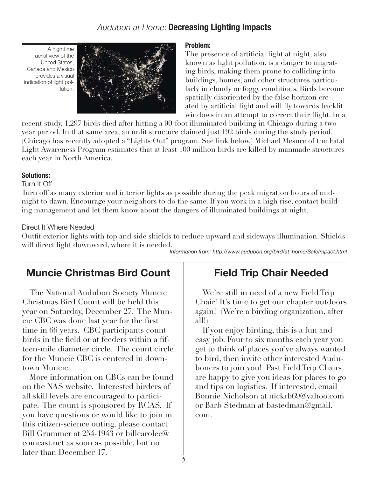### *Audubon at Home*: **Decreasing Lighting Impacts**

A nighttime aerial view of the United States, Canada and Mexico provides a visual indication of light pollution.



#### **Problem:**

The presence of artificial light at night, also known as light pollution, is a danger to migrating birds, making them prone to colliding into buildings, homes, and other structures particularly in cloudy or foggy conditions. Birds become spatially disoriented by the false horizon created by artificial light and will fly towards backlit windows in an attempt to correct their flight. In a

recent study, 1,297 birds died after hitting a 90-foot illuminated building in Chicago during a twoyear period. In that same area, an unlit structure claimed just 192 birds during the study period. (Chicago has recently adopted a "Lights Out" program. See link below.) Michael Mesure of the Fatal Light Awareness Program estimates that at least 100 million birds are killed by manmade structures each year in North America.

#### **Solutions:**

Turn It Off

Turn off as many exterior and interior lights as possible during the peak migration hours of midnight to dawn. Encourage your neighbors to do the same. If you work in a high rise, contact building management and let them know about the dangers of illuminated buildings at night.

#### Direct It Where Needed

Outfit exterior lights with top and side shields to reduce upward and sideways illumination. Shields will direct light downward, where it is needed.

*Information from: http://www.audubon.org/bird/at\_home/SafeImpact.html*

| <b>Muncie Christmas Bird Count</b>                                                                                                                                                                                                                                                                                                                                                                                                                                                                                                                                                                                                                                                                                                                                            | <b>Field Trip Chair Needed</b>                                                                                                                                                                                                                                                                                                                                                                                                                                                                                                                                               |  |  |
|-------------------------------------------------------------------------------------------------------------------------------------------------------------------------------------------------------------------------------------------------------------------------------------------------------------------------------------------------------------------------------------------------------------------------------------------------------------------------------------------------------------------------------------------------------------------------------------------------------------------------------------------------------------------------------------------------------------------------------------------------------------------------------|------------------------------------------------------------------------------------------------------------------------------------------------------------------------------------------------------------------------------------------------------------------------------------------------------------------------------------------------------------------------------------------------------------------------------------------------------------------------------------------------------------------------------------------------------------------------------|--|--|
| The National Audubon Society Muncie<br>Christmas Bird Count will be held this<br>year on Saturday, December 27. The Mun-<br>cie CBC was done last year for the first<br>time in 66 years. CBC participants count<br>birds in the field or at feeders within a fif-<br>teen-mile diameter circle. The count circle<br>for the Muncie CBC is centered in down-<br>town Muncie.<br>More information on CBCs can be found<br>on the NAS website. Interested birders of<br>all skill levels are encouraged to partici-<br>pate. The count is sponsored by RCAS. If<br>you have questions or would like to join in<br>this citizen-science outing, please contact<br>Bill Grummer at 254-1943 or billcarolee@<br>comcast.net as soon as possible, but no<br>later than December 17. | We're still in need of a new Field Trip<br>Chair! It's time to get our chapter outdoors<br>again! (We're a birding organization, after<br>all!)<br>If you enjoy birding, this is a fun and<br>easy job. Four to six months each year you<br>get to think of places you've always wanted<br>to bird, then invite other interested Audu-<br>boners to join you! Past Field Trip Chairs<br>are happy to give you ideas for places to go<br>and tips on logistics. If interested, email<br>Bonnie Nicholson at nickrb69@yahoo.com<br>or Barb Stedman at bastedman@gmail.<br>com. |  |  |

3